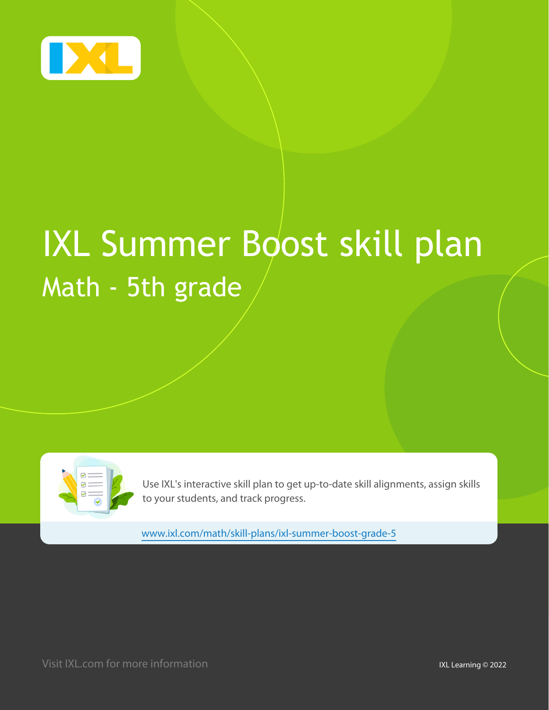

# IXL Summer Boost skill plan Math - 5th grade

| ☑<br>$\epsilon =$<br>$\textcolor{red}{\textcircled{\small\tt{}}\textcolor{blue}{\textcircled{\small\tt{}}}$<br>$\circledcirc$ |  |
|-------------------------------------------------------------------------------------------------------------------------------|--|
|                                                                                                                               |  |

Use IXL's interactive skill plan to get up-to-date skill alignments, assign skills to your students, and track progress.

www.ixl.com/math/skill-plans/ixl-summer-boost-grade-5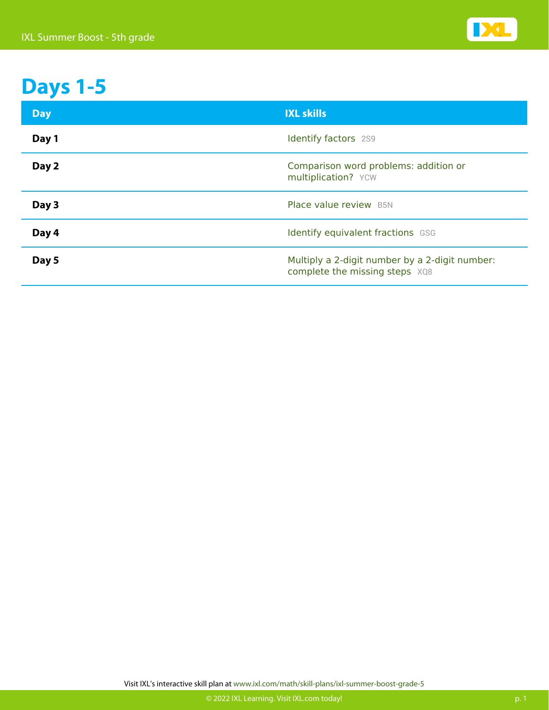

#### **Days 1-5**

| <b>Day</b> | <b>IXL skills</b>                                                                |
|------------|----------------------------------------------------------------------------------|
| Day 1      | <b>Identify factors</b> 2S9                                                      |
| Day 2      | Comparison word problems: addition or<br>multiplication? YCW                     |
| Day 3      | Place value review B5N                                                           |
| Day 4      | Identify equivalent fractions GSG                                                |
| Day 5      | Multiply a 2-digit number by a 2-digit number:<br>complete the missing steps XQ8 |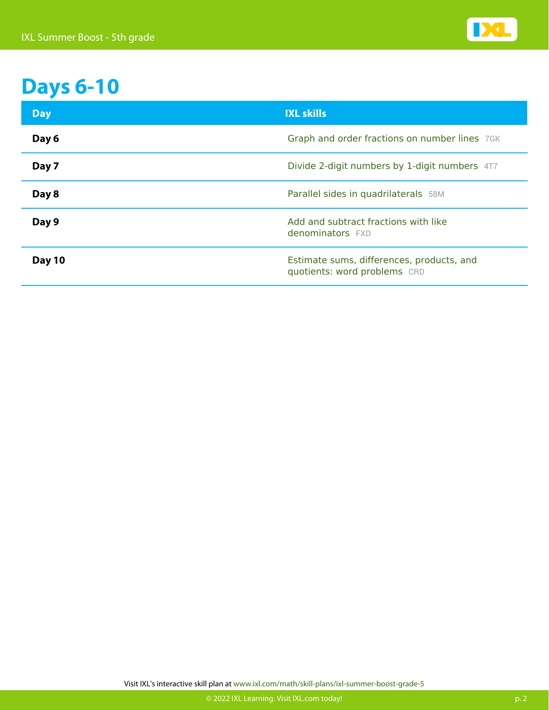

# **Days 6-10**

| <b>Day</b> | <b>IXL skills</b>                                                         |
|------------|---------------------------------------------------------------------------|
| Day 6      | Graph and order fractions on number lines 7GK                             |
| Day 7      | Divide 2-digit numbers by 1-digit numbers 4T7                             |
| Day 8      | Parallel sides in quadrilaterals 58M                                      |
| Day 9      | Add and subtract fractions with like<br>denominators FXD                  |
| Day 10     | Estimate sums, differences, products, and<br>quotients: word problems CRD |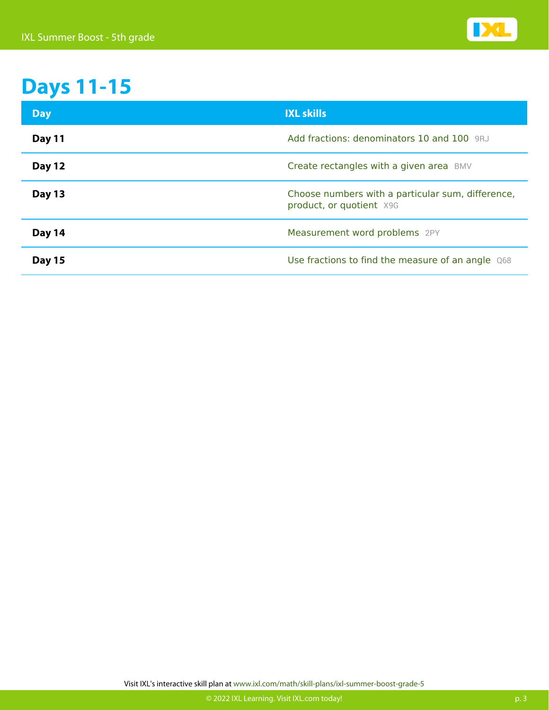

## **Days 11-15**

| <b>Day</b>    | <b>IXL skills</b>                                                             |
|---------------|-------------------------------------------------------------------------------|
| <b>Day 11</b> | Add fractions: denominators 10 and 100 9RJ                                    |
| <b>Day 12</b> | Create rectangles with a given area BMV                                       |
| Day 13        | Choose numbers with a particular sum, difference,<br>product, or quotient X9G |
| Day 14        | Measurement word problems 2PY                                                 |
| <b>Day 15</b> | Use fractions to find the measure of an angle Q68                             |